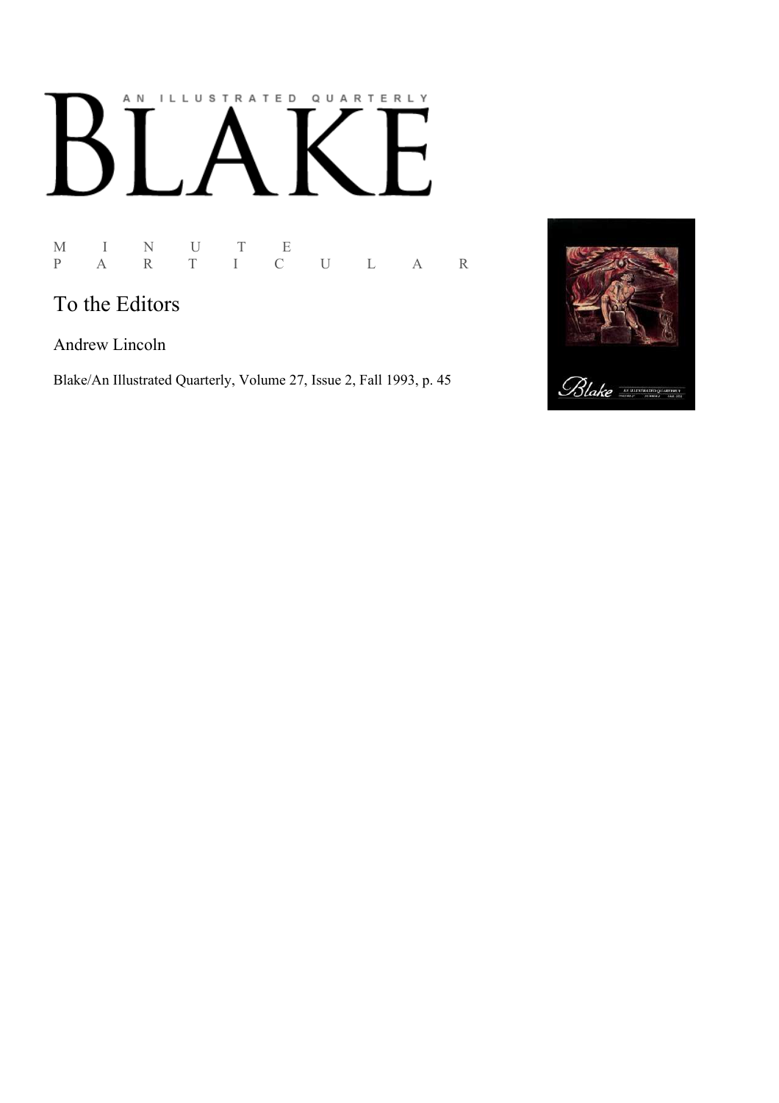## AN ILLUSTRATED QUARTERLY  $\lceil$ Ӄ

## M I N U T E P A R T I C U L A R

## To the Editors

Andrew Lincoln

Blake/An Illustrated Quarterly, Volume 27, Issue 2, Fall 1993, p. 45